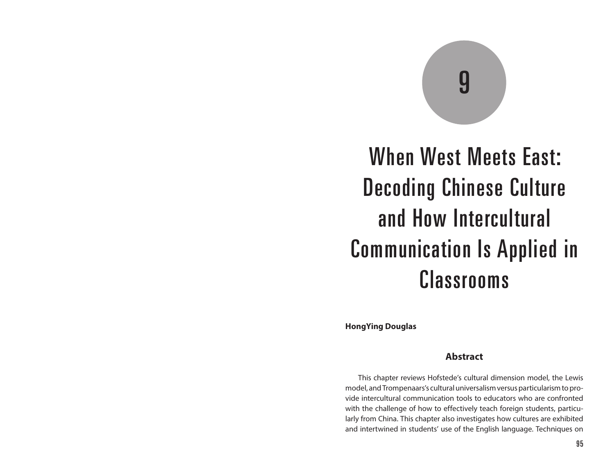# 9

# When West Meets East: Decoding Chinese Culture and How Intercultural Communication Is Applied in Classrooms

**HongYing Douglas**

#### **Abstract**

This chapter reviews Hofstede's cultural dimension model, the Lewis model, and Trompenaars's cultural universalism versus particularism to provide intercultural communication tools to educators who are confronted with the challenge of how to effectively teach foreign students, particularly from China. This chapter also investigates how cultures are exhibited and intertwined in students' use of the English language. Techniques on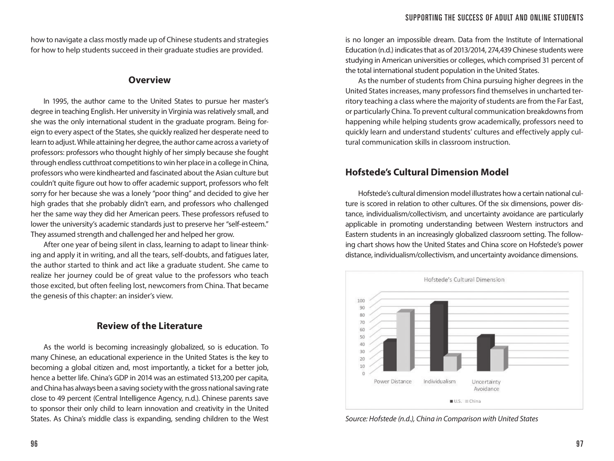how to navigate a class mostly made up of Chinese students and strategies for how to help students succeed in their graduate studies are provided.

#### **Overview**

In 1995, the author came to the United States to pursue her master's degree in teaching English. Her university in Virginia was relatively small, and she was the only international student in the graduate program. Being foreign to every aspect of the States, she quickly realized her desperate need to learn to adjust. While attaining her degree, the author came across a variety of professors: professors who thought highly of her simply because she fought through endless cutthroat competitions to win her place in a college in China, professors who were kindhearted and fascinated about the Asian culture but couldn't quite figure out how to offer academic support, professors who felt sorry for her because she was a lonely "poor thing" and decided to give her high grades that she probably didn't earn, and professors who challenged her the same way they did her American peers. These professors refused to lower the university's academic standards just to preserve her "self-esteem." They assumed strength and challenged her and helped her grow.

After one year of being silent in class, learning to adapt to linear thinking and apply it in writing, and all the tears, self-doubts, and fatigues later, the author started to think and act like a graduate student. She came to realize her journey could be of great value to the professors who teach those excited, but often feeling lost, newcomers from China. That became the genesis of this chapter: an insider's view.

# **Review of the Literature**

As the world is becoming increasingly globalized, so is education. To many Chinese, an educational experience in the United States is the key to becoming a global citizen and, most importantly, a ticket for a better job, hence a better life. China's GDP in 2014 was an estimated \$13,200 per capita, and China has always been a saving society with the gross national saving rate close to 49 percent (Central Intelligence Agency, n.d.). Chinese parents save to sponsor their only child to learn innovation and creativity in the United States. As China's middle class is expanding, sending children to the West is no longer an impossible dream. Data from the Institute of International Education (n.d.) indicates that as of 2013/2014, 274,439 Chinese students were studying in American universities or colleges, which comprised 31 percent of the total international student population in the United States.

As the number of students from China pursuing higher degrees in the United States increases, many professors find themselves in uncharted territory teaching a class where the majority of students are from the Far East, or particularly China. To prevent cultural communication breakdowns from happening while helping students grow academically, professors need to quickly learn and understand students' cultures and effectively apply cultural communication skills in classroom instruction.

# **Hofstede's Cultural Dimension Model**

Hofstede's cultural dimension model illustrates how a certain national culture is scored in relation to other cultures. Of the six dimensions, power distance, individualism/collectivism, and uncertainty avoidance are particularly applicable in promoting understanding between Western instructors and Eastern students in an increasingly globalized classroom setting. The following chart shows how the United States and China score on Hofstede's power distance, individualism/collectivism, and uncertainty avoidance dimensions.



*Source: Hofstede (n.d.), China in Comparison with United States*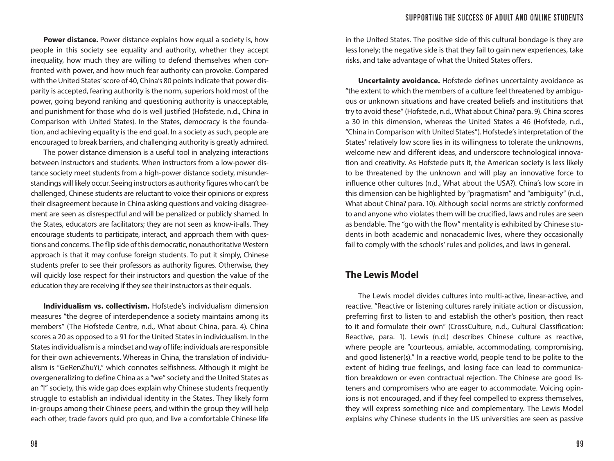**Power distance.** Power distance explains how equal a society is, how people in this society see equality and authority, whether they accept inequality, how much they are willing to defend themselves when confronted with power, and how much fear authority can provoke. Compared with the United States' score of 40, China's 80 points indicate that power disparity is accepted, fearing authority is the norm, superiors hold most of the power, going beyond ranking and questioning authority is unacceptable, and punishment for those who do is well justified (Hofstede, n.d., China in Comparison with United States). In the States, democracy is the foundation, and achieving equality is the end goal. In a society as such, people are encouraged to break barriers, and challenging authority is greatly admired.

The power distance dimension is a useful tool in analyzing interactions between instructors and students. When instructors from a low-power distance society meet students from a high-power distance society, misunderstandings will likely occur. Seeing instructors as authority figures who can't be challenged, Chinese students are reluctant to voice their opinions or express their disagreement because in China asking questions and voicing disagreement are seen as disrespectful and will be penalized or publicly shamed. In the States, educators are facilitators; they are not seen as know-it-alls. They encourage students to participate, interact, and approach them with questions and concerns. The flip side of this democratic, nonauthoritative Western approach is that it may confuse foreign students. To put it simply, Chinese students prefer to see their professors as authority figures. Otherwise, they will quickly lose respect for their instructors and question the value of the education they are receiving if they see their instructors as their equals.

**Individualism vs. collectivism.** Hofstede's individualism dimension measures "the degree of interdependence a society maintains among its members" (The Hofstede Centre, n.d., What about China, para. 4). China scores a 20 as opposed to a 91 for the United States in individualism. In the States individualism is a mindset and way of life; individuals are responsible for their own achievements. Whereas in China, the translation of individualism is "GeRenZhuYi," which connotes selfishness. Although it might be overgeneralizing to define China as a "we" society and the United States as an "I" society, this wide gap does explain why Chinese students frequently struggle to establish an individual identity in the States. They likely form in-groups among their Chinese peers, and within the group they will help each other, trade favors quid pro quo, and live a comfortable Chinese life

in the United States. The positive side of this cultural bondage is they are less lonely; the negative side is that they fail to gain new experiences, take risks, and take advantage of what the United States offers.

**Uncertainty avoidance.** Hofstede defines uncertainty avoidance as "the extent to which the members of a culture feel threatened by ambiguous or unknown situations and have created beliefs and institutions that try to avoid these" (Hofstede, n.d., What about China? para. 9). China scores a 30 in this dimension, whereas the United States a 46 (Hofstede, n.d., "China in Comparison with United States"). Hofstede's interpretation of the States' relatively low score lies in its willingness to tolerate the unknowns, welcome new and different ideas, and underscore technological innovation and creativity. As Hofstede puts it, the American society is less likely to be threatened by the unknown and will play an innovative force to influence other cultures (n.d., What about the USA?). China's low score in this dimension can be highlighted by "pragmatism" and "ambiguity" (n.d., What about China? para. 10). Although social norms are strictly conformed to and anyone who violates them will be crucified, laws and rules are seen as bendable. The "go with the flow" mentality is exhibited by Chinese students in both academic and nonacademic lives, where they occasionally fail to comply with the schools' rules and policies, and laws in general.

#### **The Lewis Model**

The Lewis model divides cultures into multi-active, linear-active, and reactive. "Reactive or listening cultures rarely initiate action or discussion, preferring first to listen to and establish the other's position, then react to it and formulate their own" (CrossCulture, n.d., Cultural Classification: Reactive, para. 1). Lewis (n.d.) describes Chinese culture as reactive, where people are "courteous, amiable, accommodating, compromising, and good listener(s)." In a reactive world, people tend to be polite to the extent of hiding true feelings, and losing face can lead to communication breakdown or even contractual rejection. The Chinese are good listeners and compromisers who are eager to accommodate. Voicing opinions is not encouraged, and if they feel compelled to express themselves, they will express something nice and complementary. The Lewis Model explains why Chinese students in the US universities are seen as passive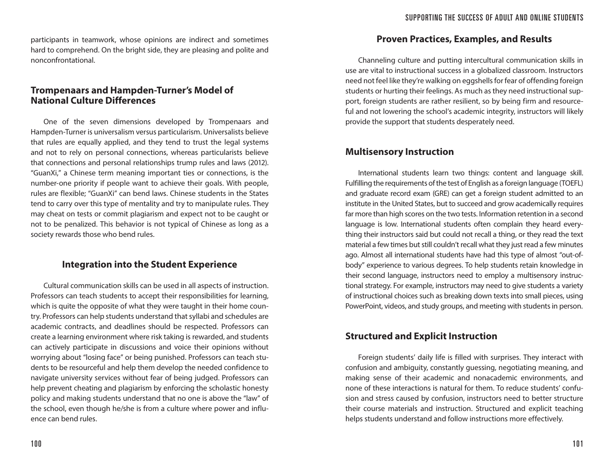participants in teamwork, whose opinions are indirect and sometimes hard to comprehend. On the bright side, they are pleasing and polite and nonconfrontational.

# **Trompenaars and Hampden-Turner's Model of National Culture Differences**

One of the seven dimensions developed by Trompenaars and Hampden-Turner is universalism versus particularism. Universalists believe that rules are equally applied, and they tend to trust the legal systems and not to rely on personal connections, whereas particularists believe that connections and personal relationships trump rules and laws (2012). "GuanXi," a Chinese term meaning important ties or connections, is the number-one priority if people want to achieve their goals. With people, rules are flexible; "GuanXi" can bend laws. Chinese students in the States tend to carry over this type of mentality and try to manipulate rules. They may cheat on tests or commit plagiarism and expect not to be caught or not to be penalized. This behavior is not typical of Chinese as long as a society rewards those who bend rules.

# **Integration into the Student Experience**

Cultural communication skills can be used in all aspects of instruction. Professors can teach students to accept their responsibilities for learning, which is quite the opposite of what they were taught in their home country. Professors can help students understand that syllabi and schedules are academic contracts, and deadlines should be respected. Professors can create a learning environment where risk taking is rewarded, and students can actively participate in discussions and voice their opinions without worrying about "losing face" or being punished. Professors can teach students to be resourceful and help them develop the needed confidence to navigate university services without fear of being judged. Professors can help prevent cheating and plagiarism by enforcing the scholastic honesty policy and making students understand that no one is above the "law" of the school, even though he/she is from a culture where power and influence can bend rules.

# **Proven Practices, Examples, and Results**

Channeling culture and putting intercultural communication skills in use are vital to instructional success in a globalized classroom. Instructors need not feel like they're walking on eggshells for fear of offending foreign students or hurting their feelings. As much as they need instructional support, foreign students are rather resilient, so by being firm and resourceful and not lowering the school's academic integrity, instructors will likely provide the support that students desperately need.

# **Multisensory Instruction**

International students learn two things: content and language skill. Fulfilling the requirements of the test of English as a foreign language (TOEFL) and graduate record exam (GRE) can get a foreign student admitted to an institute in the United States, but to succeed and grow academically requires far more than high scores on the two tests. Information retention in a second language is low. International students often complain they heard everything their instructors said but could not recall a thing, or they read the text material a few times but still couldn't recall what they just read a few minutes ago. Almost all international students have had this type of almost "out-ofbody" experience to various degrees. To help students retain knowledge in their second language, instructors need to employ a multisensory instructional strategy. For example, instructors may need to give students a variety of instructional choices such as breaking down texts into small pieces, using PowerPoint, videos, and study groups, and meeting with students in person.

# **Structured and Explicit Instruction**

Foreign students' daily life is filled with surprises. They interact with confusion and ambiguity, constantly guessing, negotiating meaning, and making sense of their academic and nonacademic environments, and none of these interactions is natural for them. To reduce students' confusion and stress caused by confusion, instructors need to better structure their course materials and instruction. Structured and explicit teaching helps students understand and follow instructions more effectively.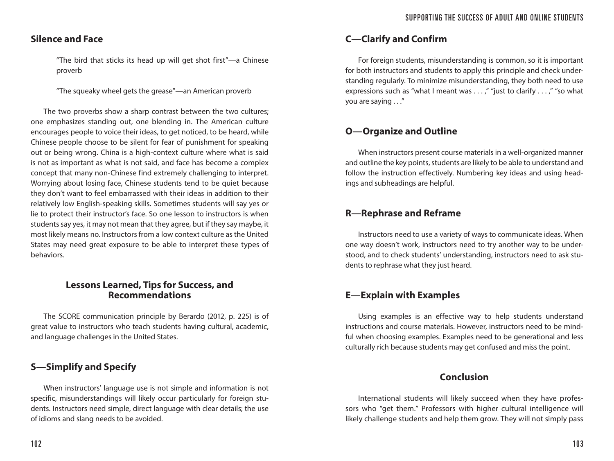# **Silence and Face**

"The bird that sticks its head up will get shot first"—a Chinese proverb

"The squeaky wheel gets the grease"—an American proverb

The two proverbs show a sharp contrast between the two cultures; one emphasizes standing out, one blending in. The American culture encourages people to voice their ideas, to get noticed, to be heard, while Chinese people choose to be silent for fear of punishment for speaking out or being wrong. China is a high-context culture where what is said is not as important as what is not said, and face has become a complex concept that many non-Chinese find extremely challenging to interpret. Worrying about losing face, Chinese students tend to be quiet because they don't want to feel embarrassed with their ideas in addition to their relatively low English-speaking skills. Sometimes students will say yes or lie to protect their instructor's face. So one lesson to instructors is when students say yes, it may not mean that they agree, but if they say maybe, it most likely means no. Instructors from a low context culture as the United States may need great exposure to be able to interpret these types of behaviors.

#### **Lessons Learned, Tips for Success, and Recommendations**

The SCORE communication principle by Berardo (2012, p. 225) is of great value to instructors who teach students having cultural, academic, and language challenges in the United States.

# **S—Simplify and Specify**

When instructors' language use is not simple and information is not specific, misunderstandings will likely occur particularly for foreign students. Instructors need simple, direct language with clear details; the use of idioms and slang needs to be avoided.

# **C—Clarify and Confirm**

For foreign students, misunderstanding is common, so it is important for both instructors and students to apply this principle and check understanding regularly. To minimize misunderstanding, they both need to use expressions such as "what I meant was . . . ," "just to clarify . . . ," "so what you are saying . . ."

# **O—Organize and Outline**

When instructors present course materials in a well-organized manner and outline the key points, students are likely to be able to understand and follow the instruction effectively. Numbering key ideas and using headings and subheadings are helpful.

# **R—Rephrase and Reframe**

Instructors need to use a variety of ways to communicate ideas. When one way doesn't work, instructors need to try another way to be understood, and to check students' understanding, instructors need to ask students to rephrase what they just heard.

# **E—Explain with Examples**

Using examples is an effective way to help students understand instructions and course materials. However, instructors need to be mindful when choosing examples. Examples need to be generational and less culturally rich because students may get confused and miss the point.

# **Conclusion**

International students will likely succeed when they have professors who "get them." Professors with higher cultural intelligence will likely challenge students and help them grow. They will not simply pass